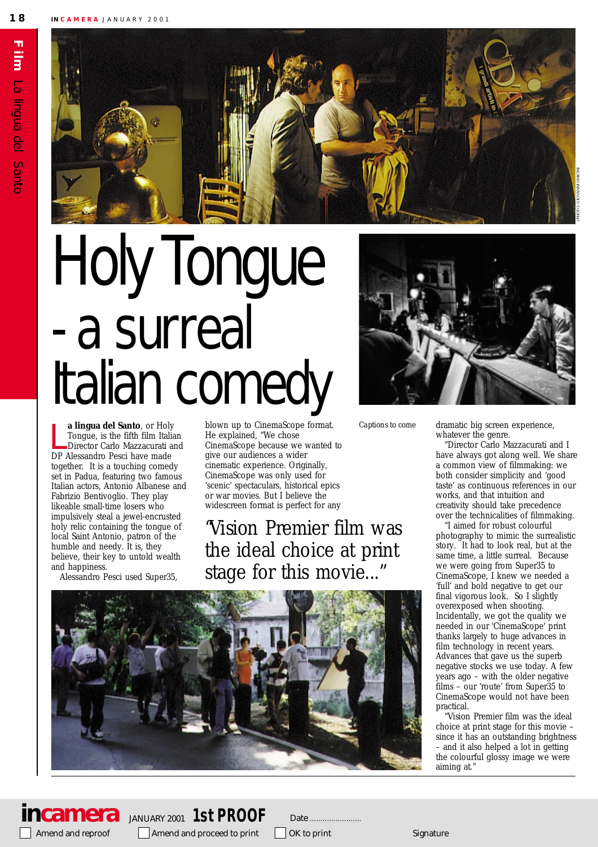

# Holy Iongue - a surreal Italian comedy

**a lingua del Santo**, or Holy<br>
Tongue, is the fifth film Itali<br>
Director Carlo Mazzacurati a<br>
DP Alessandro Pesci have made **a lingua del Santo**, or Holy Tongue, is the fifth film Italian Director Carlo Mazzacurati and together. It is a touching comedy set in Padua, featuring two famous Italian actors, Antonio Albanese and Fabrizio Bentivoglio. They play likeable small-time losers who impulsively steal a jewel-encrusted holy relic containing the tongue of local Saint Antonio, patron of the humble and needy. It is, they believe, their key to untold wealth and happiness.

Alessandro Pesci used Super35,

blown up to CinemaScope format. He explained, "We chose CinemaScope because we wanted to give our audiences a wider cinematic experience. Originally, CinemaScope was only used for 'scenic' spectaculars, historical epics or war movies. But I believe the widescreen format is perfect for any

"*Vision* Premier film was the ideal choice at print stage for this movie..."





*Captions to come*

dramatic big screen experience, whatever the genre.

"Director Carlo Mazzacurati and I have always got along well. We share a common view of filmmaking: we both consider simplicity and 'good taste' as continuous references in our works, and that intuition and creativity should take precedence over the technicalities of filmmaking.

"I aimed for robust colourful photography to mimic the surrealistic story. It had to look real, but at the same time, a little surreal. Because we were going from Super35 to CinemaScope, I knew we needed a 'full' and bold negative to get our final vigorous look. So I slightly overexposed when shooting. Incidentally, we got the quality we needed in our 'CinemaScope' print thanks largely to huge advances in film technology in recent years. Advances that gave us the superb negative stocks we use today. A few years ago – with the older negative films – our 'route' from Super35 to CinemaScope would not have been practical.

Vision Premier film was the ideal choice at print stage for this movie – since it has an outstanding brightness – and it also helped a lot in getting the colourful glossy image we were aiming at."

Amend and reproof Amend and proceed to print  $\Box$  OK to print

**incamera** JANUARY 2001 **1st PROOF**

Date ..........................

Signature